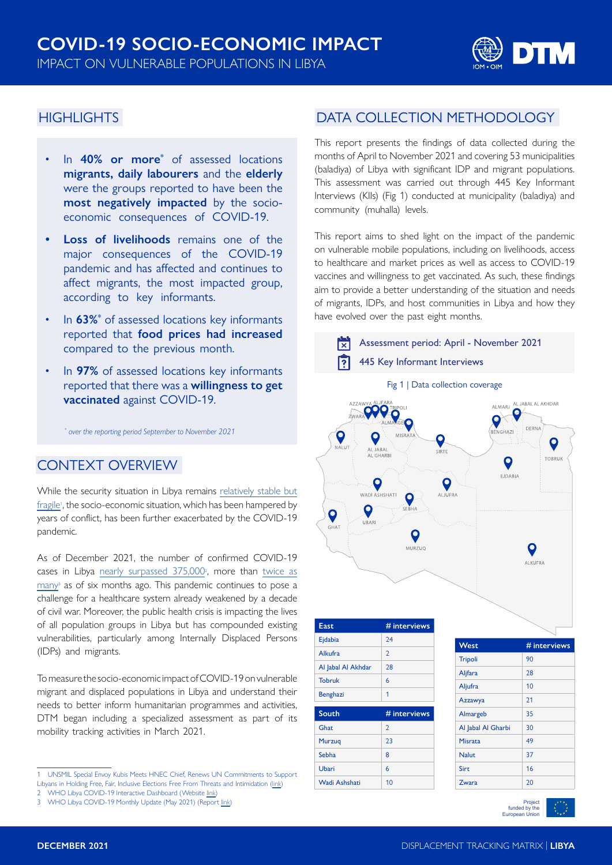

### **HIGHLIGHTS**

- In **40% or more\*** of assessed locations **migrants, daily labourers** and the **elderly** were the groups reported to have been the **most negatively impacted** by the socioeconomic consequences of COVID-19.
- **• Loss of livelihoods** remains one of the major consequences of the COVID-19 pandemic and has affected and continues to affect migrants, the most impacted group, according to key informants.
- In **63%\*** of assessed locations key informants reported that **food prices had increased** compared to the previous month.
- In **97%** of assessed locations key informants reported that there was a **willingness to get vaccinated** against COVID-19.

*\* over the reporting period September to November 2021*

### CONTEXT OVERVIEW

While the security situation in Libya remains [relatively stable but](https://unsmil.unmissions.org/special-envoy-kubiš-meets-hnec-chief-renews-un-commitments-support-libyans-holding-free-fair) fragile<sup>1</sup>, the socio-economic situation, which has been hampered by years of conflict, has been further exacerbated by the COVID-19 pandemic.

As of December 2021, the number of confirmed COVID-19 cases in Libya [nearly surpassed 375,000](https://covid19.who.int/region/emro/country/ly)<sup>2</sup>, more than [twice as](https://www.humanitarianresponse.info/sites/www.humanitarianresponse.info/files/documents/files/libya_covid_update_27.pdf) many<sup>3</sup> as of six months ago. This pandemic continues to pose a challenge for a healthcare system already weakened by a decade of civil war. Moreover, the public health crisis is impacting the lives of all population groups in Libya but has compounded existing vulnerabilities, particularly among Internally Displaced Persons (IDPs) and migrants.

To measure the socio-economic impact of COVID-19 on vulnerable migrant and displaced populations in Libya and understand their needs to better inform humanitarian programmes and activities, DTM began including a specialized assessment as part of its mobility tracking activities in March 2021.

## DATA COLLECTION METHODOLOGY

This report presents the findings of data collected during the months of April to November 2021 and covering 53 municipalities (baladiya) of Libya with significant IDP and migrant populations. This assessment was carried out through 445 Key Informant Interviews (KIIs) (Fig 1) conducted at municipality (baladiya) and community (muhalla) levels.

This report aims to shed light on the impact of the pandemic on vulnerable mobile populations, including on livelihoods, access to healthcare and market prices as well as access to COVID-19 vaccines and willingness to get vaccinated. As such, these findings aim to provide a better understanding of the situation and needs of migrants, IDPs, and host communities in Libya and how they have evolved over the past eight months.



Project funded by the European Union

<sup>1</sup> UNSMIL Special Envoy Kubis Meets HNEC Chief, Renews UN Commitments to Support Libyans in Holding Free, Fair, Inclusive Elections Free From Threats and Intimidation ([link](https://unsmil.unmissions.org/special-envoy-kubiš-meets-hnec-chief-renews-un-commitments-support-libyans-holding-free-fair))

<sup>2</sup> WHO Libya COVID-19 Interactive Dashboard (Website [link\)](https://covid19.who.int/region/emro/country/ly)

<sup>3</sup> WHO Libya COVID-19 Monthly Update (May 2021) (Report [link\)](https://www.humanitarianresponse.info/sites/www.humanitarianresponse.info/files/documents/files/libya_covid_update_27.pdf)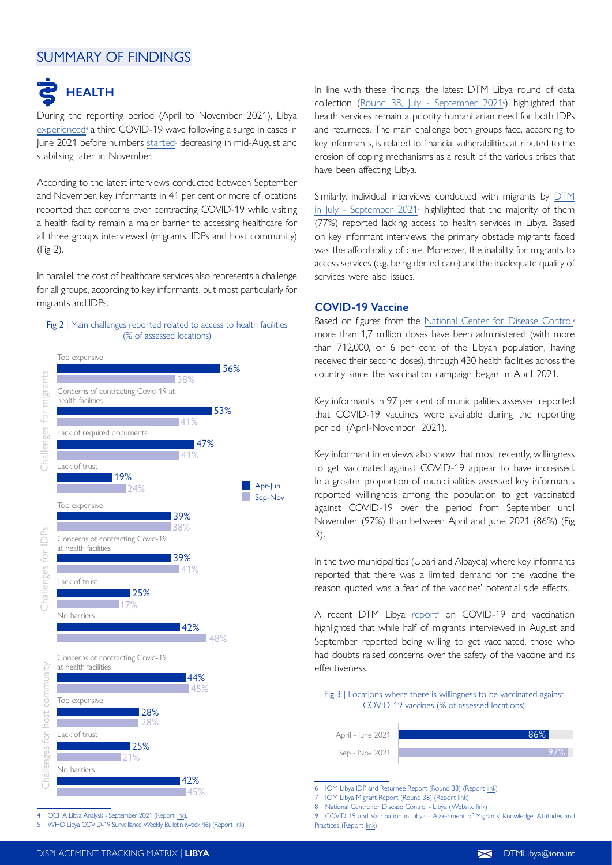## SUMMARY OF FINDINGS



During the reporting period (April to November 2021), Libya experienced<sup>4</sup> a third COVID-19 wave following a surge in cases in June 2021 before numbers [started](https://www.humanitarianresponse.info/sites/www.humanitarianresponse.info/files/documents/files/covid-19_epi_weekly_libya_21_nov_2021.pdf)<sup>s</sup> decreasing in mid-August and stabilising later in November.

According to the latest interviews conducted between September and November, key informants in 41 per cent or more of locations reported that concerns over contracting COVID-19 while visiting a health facility remain a major barrier to accessing healthcare for all three groups interviewed (migrants, IDPs and host community) (Fig 2).

In parallel, the cost of healthcare services also represents a challenge for all groups, according to key informants, but most particularly for migrants and IDPs.

#### Fig 2 | Main challenges reported related to access to health facilities (% of assessed locations)



4 OCHA Libya Analysis - September 2021 [\(Report link](https://reports.unocha.org/en/country/libya/card/6xpEY7CH2G/)).

5 WHO Libya COVID-19 Surveillance Weekly Bulletin (week 46) (Report [link\)](https://www.humanitarianresponse.info/sites/www.humanitarianresponse.info/files/documents/files/covid-19_epi_weekly_libya_21_nov_2021.pdf)

In line with these findings, the latest DTM Libya round of data collection (Round 38, July - September  $2021$ <sup>6</sup>) highlighted that health services remain a priority humanitarian need for both IDPs and returnees. The main challenge both groups face, according to key informants, is related to financial vulnerabilities attributed to the erosion of coping mechanisms as a result of the various crises that have been affecting Libya.

Similarly, individual interviews conducted with migrants by [DTM](https://migration.iom.int/reports/libya-—-migrant-report-38-july-—-september-2021) [in July - September 2021](https://migration.iom.int/reports/libya-—-migrant-report-38-july-—-september-2021)<sup>7</sup> highlighted that the majority of them (77%) reported lacking access to health services in Libya. Based on key informant interviews, the primary obstacle migrants faced was the affordability of care. Moreover, the inability for migrants to access services (e.g. being denied care) and the inadequate quality of services were also issues.

#### **COVID-19 Vaccine**

Based on figures from the [National Center for Disease Control](https://ncdc.org.ly/Ar/situation-of-corona/)<sup>®</sup> more than 1,7 million doses have been administered (with more than 712,000, or 6 per cent of the Libyan population, having received their second doses), through 430 health facilities across the country since the vaccination campaign began in April 2021.

Key informants in 97 per cent of municipalities assessed reported that COVID-19 vaccines were available during the reporting period (April-November 2021).

Key informant interviews also show that most recently, willingness to get vaccinated against COVID-19 appear to have increased. In a greater proportion of municipalities assessed key informants reported willingness among the population to get vaccinated against COVID-19 over the period from September until November (97%) than between April and June 2021 (86%) (Fig 3).

In the two municipalities (Ubari and Albayda) where key informants reported that there was a limited demand for the vaccine the reason quoted was a fear of the vaccines' potential side effects.

A recent DTM Libya [report](https://displacement.iom.int/reports/covid-19-and-vaccination-libya-assessment-migrants-knowledge-attitudes-practices)<sup>9</sup> on COVID-19 and vaccination highlighted that while half of migrants interviewed in August and September reported being willing to get vaccinated, those who had doubts raised concerns over the safety of the vaccine and its effectiveness.

Fig 3 | Locations where there is willingness to be vaccinated against COVID-19 vaccines (% of assessed locations)

Sep - Nov 2021



6 IOM Libya IDP and Returnee Report (Round 38) (Report [link](https://displacement.iom.int/node/12674))

9 COVID-19 and Vaccination in Libya - Assessment of Migrants' Knowledge, Attitudes and

Practices (Report [link\)](https://displacement.iom.int/reports/covid-19-and-vaccination-libya-assessment-migrants-knowledge-attitudes-practices)

IOM Libya Migrant Report (Round 38) (Report [link](https://migration.iom.int/reports/libya-—-migrant-report-38-july-—-september-2021))

<sup>8</sup> National Centre for Disease Control - Libya (Website [link](https://ncdc.org.ly/Ar/situation-of-corona/))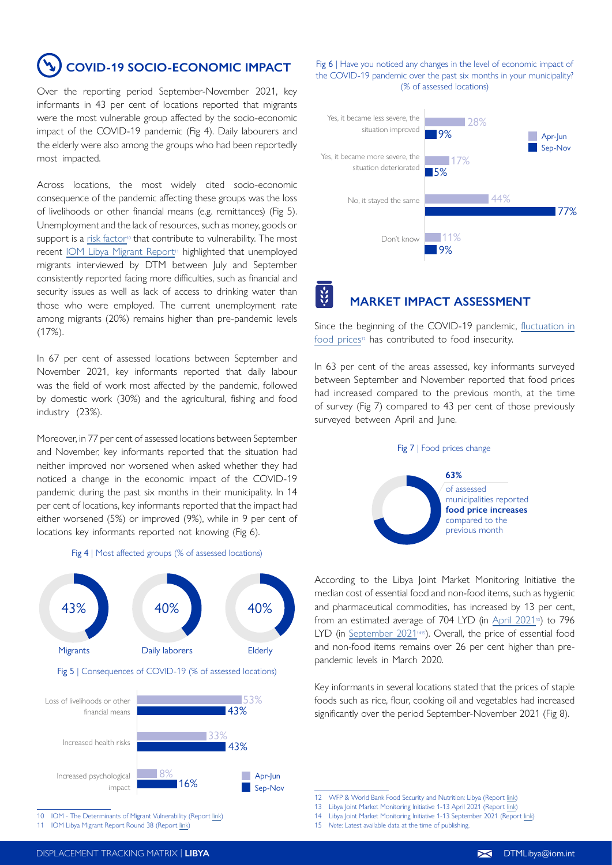**COVID-19 SOCIO-ECONOMIC IMPACT**

Over the reporting period September-November 2021, key informants in 43 per cent of locations reported that migrants were the most vulnerable group affected by the socio-economic impact of the COVID-19 pandemic (Fig 4). Daily labourers and the elderly were also among the groups who had been reportedly most impacted.

Across locations, the most widely cited socio-economic consequence of the pandemic affecting these groups was the loss of livelihoods or other financial means (e.g. remittances) (Fig 5). Unemployment and the lack of resources, such as money, goods or support is a [risk factor](https://www.iom.int/sites/g/files/tmzbdl486/files/our_work/DMM/MPA/1-part1-thedomv.pdf)<sup>10</sup> that contribute to vulnerability. The most recent [IOM Libya Migrant Report](https://migration.iom.int/reports/libya-—-migrant-report-38-july-—-september-2021)<sup>11</sup> highlighted that unemployed migrants interviewed by DTM between July and September consistently reported facing more difficulties, such as financial and security issues as well as lack of access to drinking water than those who were employed. The current unemployment rate among migrants (20%) remains higher than pre-pandemic levels (17%).

In 67 per cent of assessed locations between September and November 2021, key informants reported that daily labour was the field of work most affected by the pandemic, followed by domestic work (30%) and the agricultural, fishing and food industry (23%).

Moreover, in 77 per cent of assessed locations between September and November, key informants reported that the situation had neither improved nor worsened when asked whether they had noticed a change in the economic impact of the COVID-19 pandemic during the past six months in their municipality. In 14 per cent of locations, key informants reported that the impact had either worsened (5%) or improved (9%), while in 9 per cent of locations key informants reported not knowing (Fig 6).

#### Fig 4 | Most affected groups (% of assessed locations)



10 IOM - The Determinants of Migrant Vulnerability (Report [link](https://www.iom.int/sites/g/files/tmzbdl486/files/our_work/DMM/MPA/1-part1-thedomv.pdf))

11 IOM Libya Migrant Report Round 38 (Report [link](https://migration.iom.int/reports/libya-—-migrant-report-38-july-—-september-2021))

Fig 6 | Have you noticed any changes in the level of economic impact of the COVID-19 pandemic over the past six months in your municipality? (% of assessed locations)



# **MARKET IMPACT ASSESSMENT**

Since the beginning of the COVID-19 pandemic, [fluctuation in](https://reliefweb.int/sites/reliefweb.int/files/resources/Food_Security_and_Nutrition_3_final.pdf) food prices<sup>12</sup> has contributed to food insecurity.

In 63 per cent of the areas assessed, key informants surveyed between September and November reported that food prices had increased compared to the previous month, at the time of survey (Fig 7) compared to 43 per cent of those previously surveyed between April and June.





According to the Libya Joint Market Monitoring Initiative the median cost of essential food and non-food items, such as hygienic and pharmaceutical commodities, has increased by 13 per cent, from an estimated average of 704 LYD (in [April 2021](https://reliefweb.int/sites/reliefweb.int/files/resources/REACH_LBY_Situation-overview_JMMI_April-2021.pdf)<sup>13</sup>) to 796 LYD (in September 2021<sup>1415</sup>). Overall, the price of essential food and non-food items remains over 26 per cent higher than prepandemic levels in March 2020.

Key informants in several locations stated that the prices of staple foods such as rice, flour, cooking oil and vegetables had increased significantly over the period September-November 2021 (Fig 8).

14 Libya Joint Market Monitoring Initiative 1-13 September 2021 (Report [link](https://reliefweb.int/sites/reliefweb.int/files/resources/REACH-LBY-Situation-overview-JMMI-September-2021.pdf))

<sup>12</sup> WFP & World Bank Food Security and Nutrition: Libya (Report [link\)](https://reliefweb.int/sites/reliefweb.int/files/resources/Food_Security_and_Nutrition_3_final.pdf)

<sup>13</sup> Libya Joint Market Monitoring Initiative 1-13 April 2021 (Report [link\)](https://reliefweb.int/sites/reliefweb.int/files/resources/REACH_LBY_Situation-overview_JMMI_April-2021.pdf)

<sup>15</sup> *Note*: Latest available data at the time of publishing.